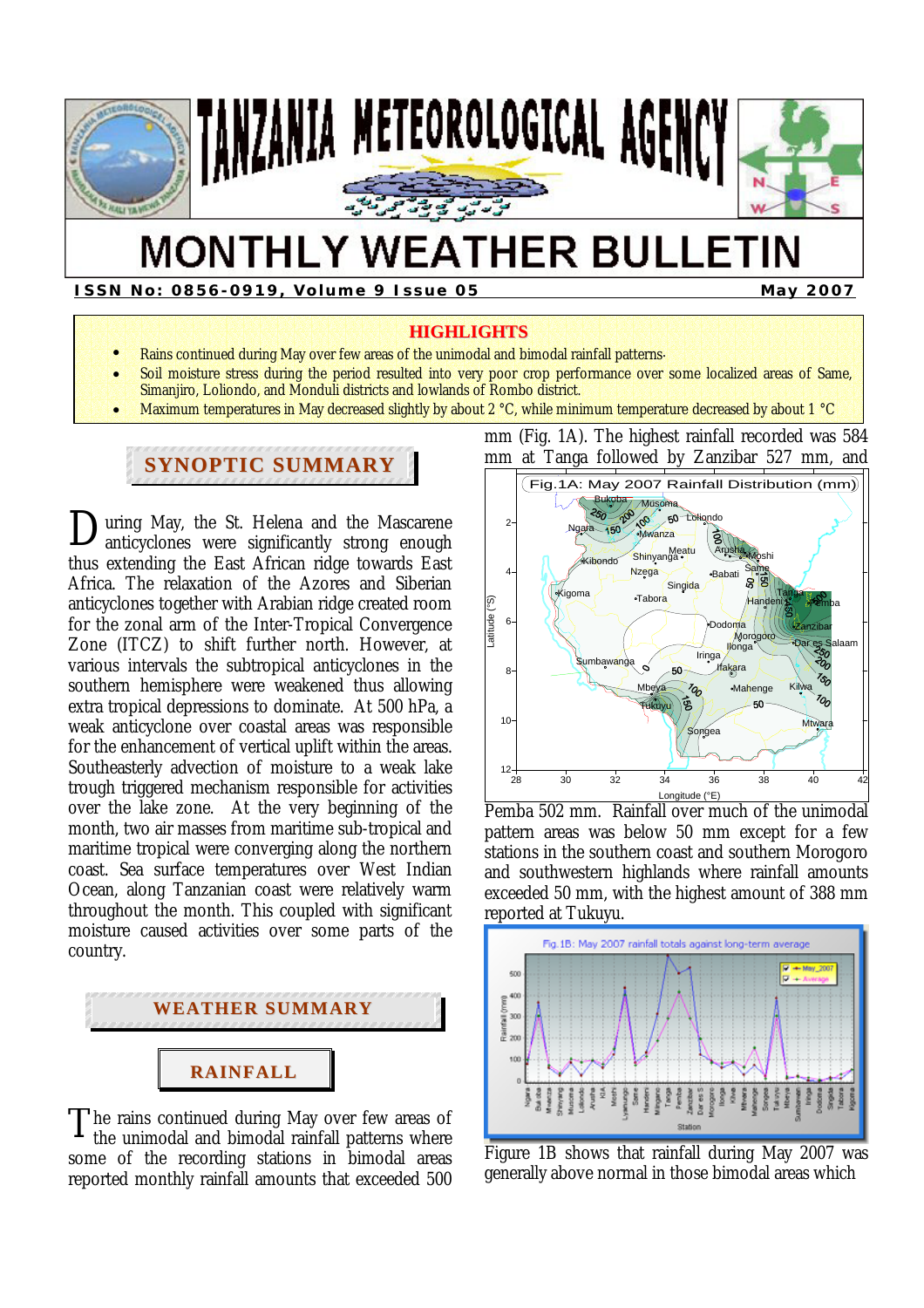

# **MONTHLY WEATHER BULLETIN**

**ISSN No: 0856-0919, Volume 9 Issue 05 May 2007** May 2007

#### **HIGHLIGHTS**

- Rains continued during May over few areas of the unimodal and bimodal rainfall patterns.
- Soil moisture stress during the period resulted into very poor crop performance over some localized areas of Same, Simanjiro, Loliondo, and Monduli districts and lowlands of Rombo district.
- Maximum temperatures in May decreased slightly by about 2 °C, while minimum temperature decreased by about 1 °C

# **SYNOPTIC SUMMARY**

**D**uring May, the St. Helena and the Mascarene anticyclones were significantly strong enough anticyclones were significantly strong enough thus extending the East African ridge towards East Africa. The relaxation of the Azores and Siberian anticyclones together with Arabian ridge created room for the zonal arm of the Inter-Tropical Convergence Zone (ITCZ) to shift further north. However, at various intervals the subtropical anticyclones in the southern hemisphere were weakened thus allowing extra tropical depressions to dominate. At 500 hPa, a weak anticyclone over coastal areas was responsible for the enhancement of vertical uplift within the areas. Southeasterly advection of moisture to a weak lake trough triggered mechanism responsible for activities over the lake zone. At the very beginning of the month, two air masses from maritime sub-tropical and maritime tropical were converging along the northern coast. Sea surface temperatures over West Indian Ocean, along Tanzanian coast were relatively warm throughout the month. This coupled with significant moisture caused activities over some parts of the country.



he rains continued during May over few areas of the unimodal and bimodal rainfall patterns where some of the recording stations in bimodal areas reported monthly rainfall amounts that exceeded 500 T

mm at Tanga followed by Zanzibar 527 mm, and Fig.1A: May 2007 Rainfall Distribution (mm) Bukoba Musoma Loliondo  $\overline{2}$ Ngara Mwanza Shinyanga Meatu Arusha Moshi **Kibond**o **Nzega Same** 4 Babati Singida Tanga  $T$ ahora စ္ခြ Latitude (°S) Handeni Pemba -atitude 6 Dodoma Zanzibar Morogoro Dar es Salaam **Il**onga **Iringa** Sumbawanga lfakara 8 Mahenge Mbeya Kilwa гΩ. Tukuyu 10 Mtwara **Songea**  $12 +$ 28 30 32 34 36 38 40 42 Longitude (°E)

mm (Fig. 1A). The highest rainfall recorded was 584

Pemba 502 mm. Rainfall over much of the unimodal pattern areas was below 50 mm except for a few stations in the southern coast and southern Morogoro and southwestern highlands where rainfall amounts exceeded 50 mm, with the highest amount of 388 mm reported at Tukuyu.



Figure 1B shows that rainfall during May 2007 was generally above normal in those bimodal areas which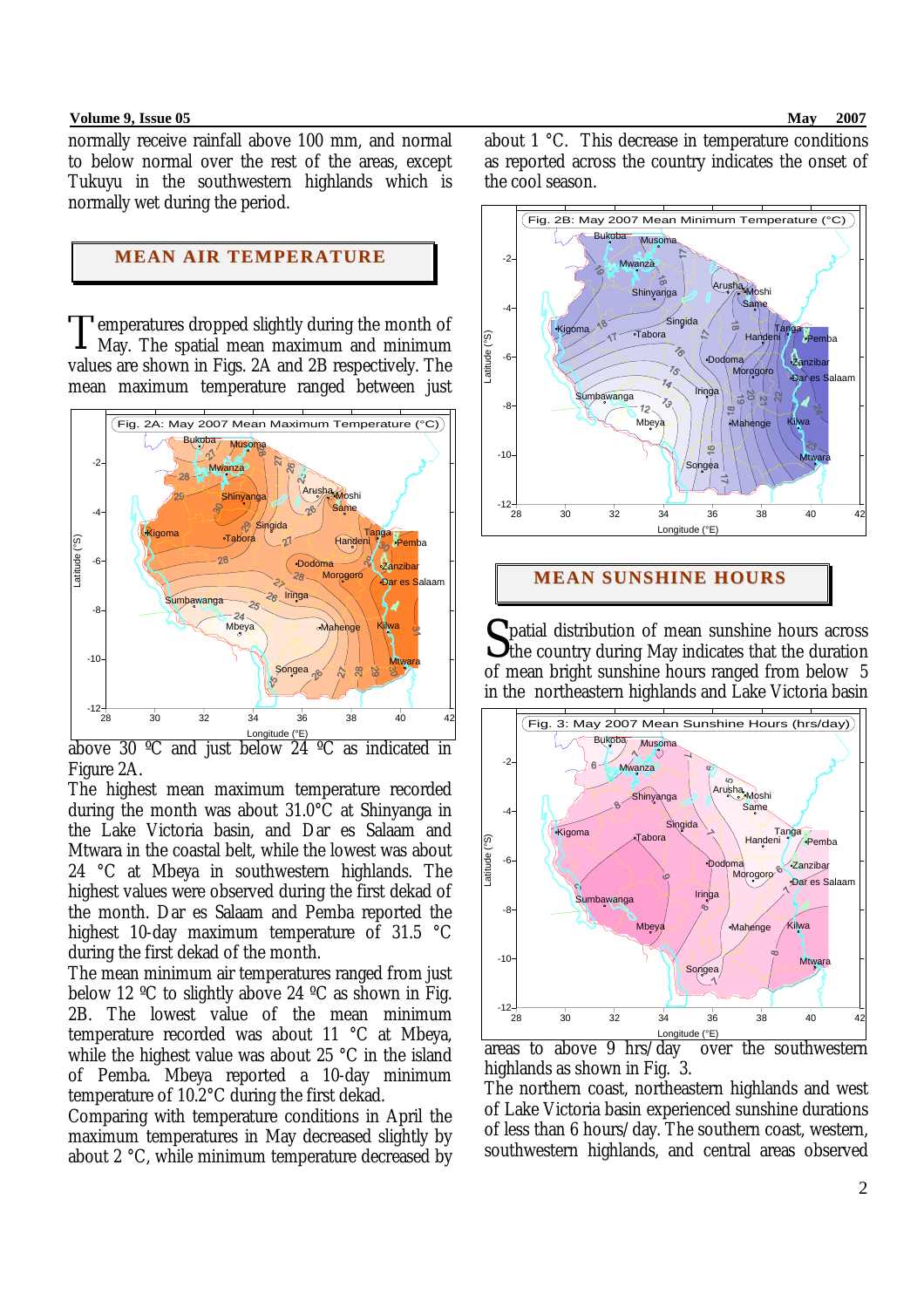#### **Volume 9, Issue 05 May 2007**

normally receive rainfall above 100 mm, and normal to below normal over the rest of the areas, except Tukuyu in the southwestern highlands which is normally wet during the period.

# **MEAN AIR TEMPERATURE**

emperatures dropped slightly during the month of May. The spatial mean maximum and minimum values are shown in Figs. 2A and 2B respectively. The mean maximum temperature ranged between just T



above 30 °C and just below 24 °C as indicated in Figure 2A.

The highest mean maximum temperature recorded during the month was about 31.0°C at Shinyanga in the Lake Victoria basin, and Dar es Salaam and Mtwara in the coastal belt, while the lowest was about 24 °C at Mbeya in southwestern highlands. The highest values were observed during the first dekad of the month. Dar es Salaam and Pemba reported the highest 10-day maximum temperature of 31.5 °C during the first dekad of the month.

The mean minimum air temperatures ranged from just below 12 °C to slightly above 24 °C as shown in Fig. 2B. The lowest value of the mean minimum temperature recorded was about 11 °C at Mbeya, while the highest value was about 25 °C in the island of Pemba. Mbeya reported a 10-day minimum temperature of 10.2°C during the first dekad.

Comparing with temperature conditions in April the maximum temperatures in May decreased slightly by about 2 °C, while minimum temperature decreased by about 1 °C. This decrease in temperature conditions as reported across the country indicates the onset of the cool season.



## **MEAN SUNSHINE HOURS**

patial distribution of mean sunshine hours across  $S<sub>th</sub>$  patial distribution of mean sunshine hours across the country during May indicates that the duration of mean bright sunshine hours ranged from below 5 in the northeastern highlands and Lake Victoria basin



areas to above 9 hrs/day over the southwestern highlands as shown in Fig. 3.

The northern coast, northeastern highlands and west of Lake Victoria basin experienced sunshine durations of less than 6 hours/day. The southern coast, western, southwestern highlands, and central areas observed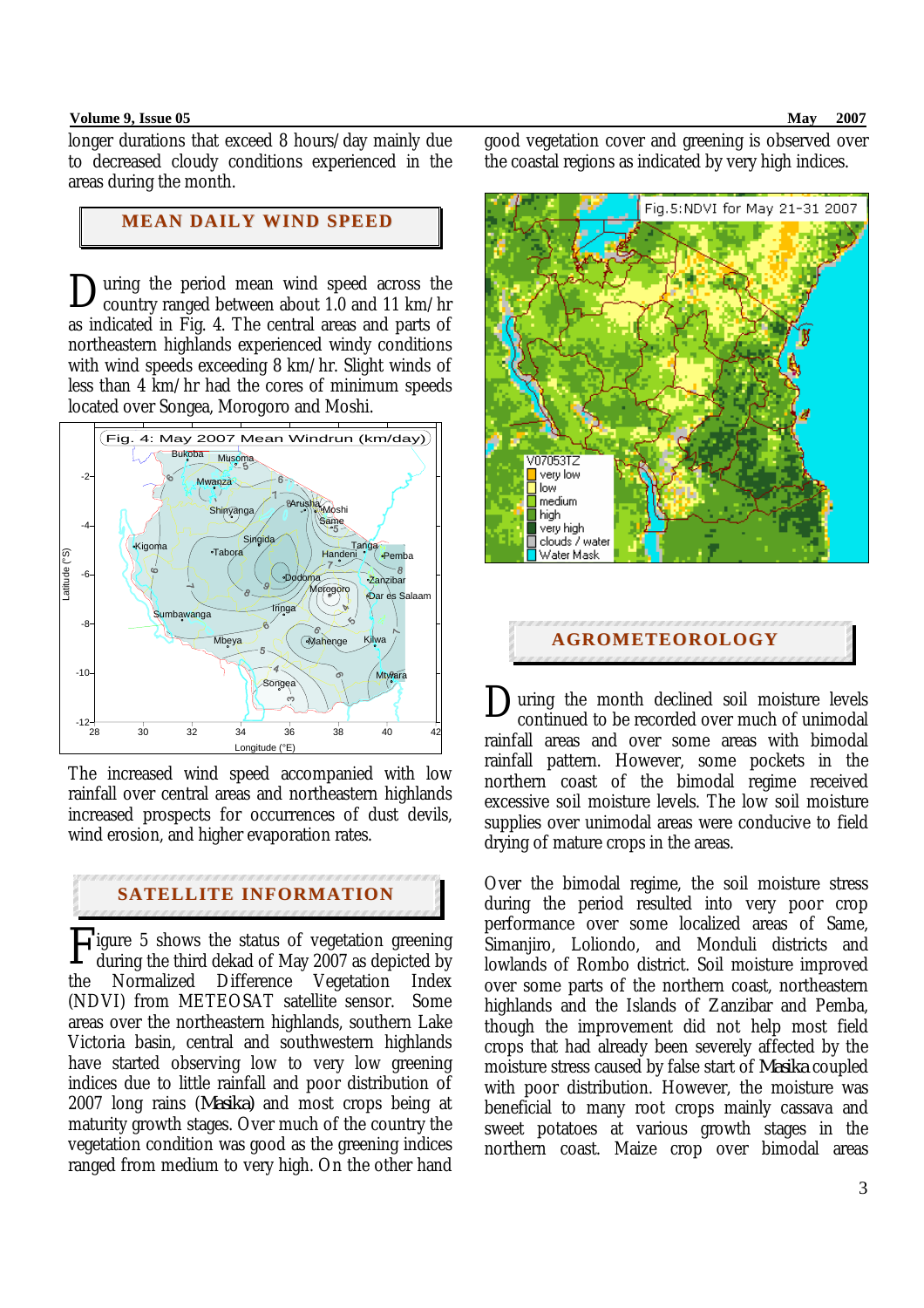#### **Volume 9, Issue 05 May 2007**

longer durations that exceed 8 hours/day mainly due to decreased cloudy conditions experienced in the areas during the month.

# **MEAN DAILY WIND SPEED**

uring the period mean wind speed across the  $\sum$ uring the period mean wind speed across the country ranged between about 1.0 and 11 km/hr as indicated in Fig. 4. The central areas and parts of northeastern highlands experienced windy conditions with wind speeds exceeding 8 km/hr. Slight winds of less than 4 km/hr had the cores of minimum speeds located over Songea, Morogoro and Moshi.



The increased wind speed accompanied with low rainfall over central areas and northeastern highlands increased prospects for occurrences of dust devils, wind erosion, and higher evaporation rates.

# **SATELLITE INFORMATION**

**F**igure 5 shows the status of vegetation greening during the third dekad of May 2007 as depicted by during the third dekad of May 2007 as depicted by the Normalized Difference Vegetation Index (NDVI) from METEOSAT satellite sensor. Some areas over the northeastern highlands, southern Lake Victoria basin, central and southwestern highlands have started observing low to very low greening indices due to little rainfall and poor distribution of 2007 long rains (*Masika)* and most crops being at maturity growth stages. Over much of the country the vegetation condition was good as the greening indices ranged from medium to very high. On the other hand

good vegetation cover and greening is observed over the coastal regions as indicated by very high indices.



uring the month declined soil moisture levels continued to be recorded over much of unimodal rainfall areas and over some areas with bimodal rainfall pattern. However, some pockets in the northern coast of the bimodal regime received excessive soil moisture levels. The low soil moisture supplies over unimodal areas were conducive to field drying of mature crops in the areas. D

Over the bimodal regime, the soil moisture stress during the period resulted into very poor crop performance over some localized areas of Same, Simanjiro, Loliondo, and Monduli districts and lowlands of Rombo district. Soil moisture improved over some parts of the northern coast, northeastern highlands and the Islands of Zanzibar and Pemba, though the improvement did not help most field crops that had already been severely affected by the moisture stress caused by false start of *Masika* coupled with poor distribution. However, the moisture was beneficial to many root crops mainly cassava and sweet potatoes at various growth stages in the northern coast. Maize crop over bimodal areas